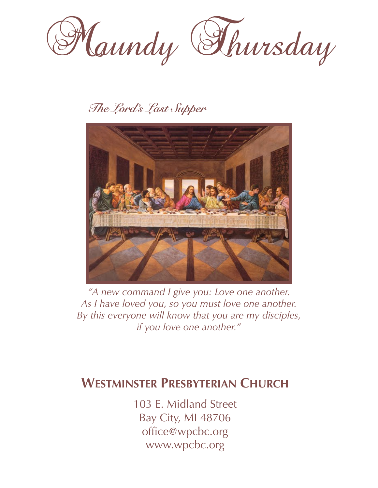

# *The Lord's Last Supper*



*"A new command I give you: Love one another. As I have loved you, so you must love one another. By this everyone will know that you are my disciples, if you love one another."*

# **WESTMINSTER PRESBYTERIAN CHURCH**

103 E. Midland Street Bay City, MI 48706 [office@wpcbc.org](mailto:office@wpcbc.org) [www.wpcbc.org](http://www.wpcbc.org)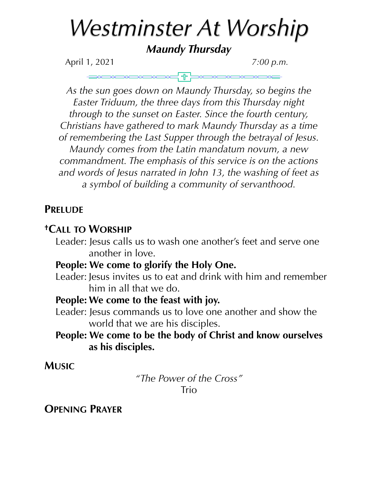# *Westminster At Worship*

*Maundy Thursday* 

April 1, 2021 *7:00 p.m.*

*As the sun goes down on Maundy Thursday, so begins the Easter Triduum, the three days from this Thursday night through to the sunset on Easter. Since the fourth century, Christians have gathered to mark Maundy Thursday as a time of remembering the Last Supper through the betrayal of Jesus. Maundy comes from the Latin mandatum novum, a new commandment. The emphasis of this service is on the actions and words of Jesus narrated in John 13, the washing of feet as a symbol of building a community of servanthood.* 

### **PRELUDE**

## **†CALL TO WORSHIP**

Leader: Jesus calls us to wash one another's feet and serve one another in love.

#### **People: We come to glorify the Holy One.**

Leader: Jesus invites us to eat and drink with him and remember him in all that we do.

#### **People: We come to the feast with joy.**

Leader: Jesus commands us to love one another and show the world that we are his disciples.

#### **People: We come to be the body of Christ and know ourselves as his disciples.**

#### **MUSIC**

*"The Power of the Cross"*  Trio

### **OPENING PRAYER**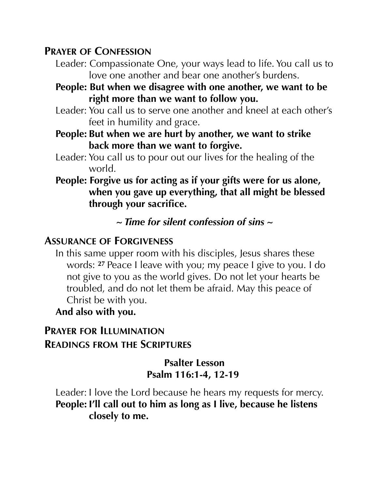#### **PRAYER OF CONFESSION**

- Leader: Compassionate One, your ways lead to life. You call us to love one another and bear one another's burdens.
- **People: But when we disagree with one another, we want to be right more than we want to follow you.**
- Leader: You call us to serve one another and kneel at each other's feet in humility and grace.
- **People: But when we are hurt by another, we want to strike back more than we want to forgive.**
- Leader: You call us to pour out our lives for the healing of the world.
- **People: Forgive us for acting as if your gifts were for us alone, when you gave up everything, that all might be blessed through your sacrifice.**

 *~ Time for silent confession of sins ~* 

#### **ASSURANCE OF FORGIVENESS**

In this same upper room with his disciples, Jesus shares these words: **<sup>27</sup>** Peace I leave with you; my peace I give to you. I do not give to you as the world gives. Do not let your hearts be troubled, and do not let them be afraid. May this peace of Christ be with you.

**And also with you.** 

#### **PRAYER FOR ILLUMINATION READINGS FROM THE SCRIPTURES**

#### **Psalter Lesson Psalm 116:1-4, 12-19**

Leader: I love the Lord because he hears my requests for mercy. **People: I'll call out to him as long as I live, because he listens closely to me.**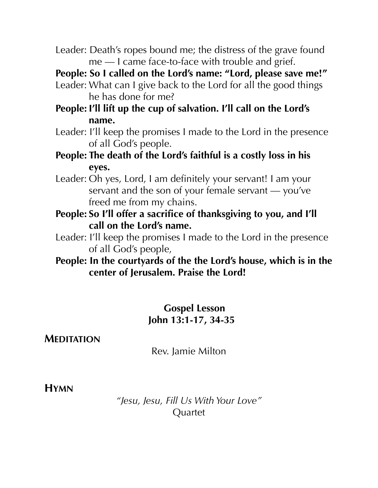Leader: Death's ropes bound me; the distress of the grave found me — I came face-to-face with trouble and grief.

**People: So I called on the Lord's name: "Lord, please save me!"** 

Leader: What can I give back to the Lord for all the good things he has done for me?

**People: I'll lift up the cup of salvation. I'll call on the Lord's name.** 

- Leader: I'll keep the promises I made to the Lord in the presence of all God's people.
- **People: The death of the Lord's faithful is a costly loss in his eyes.**
- Leader: Oh yes, Lord, I am definitely your servant! I am your servant and the son of your female servant — you've freed me from my chains.
- **People: So I'll offer a sacrifice of thanksgiving to you, and I'll call on the Lord's name.**
- Leader: I'll keep the promises I made to the Lord in the presence of all God's people,
- **People: In the courtyards of the the Lord's house, which is in the center of Jerusalem. Praise the Lord!**

#### **Gospel Lesson John 13:1-17, 34-35**

#### **MEDITATION**

Rev. Jamie Milton

#### **HYMN**

*"Jesu, Jesu, Fill Us With Your Love"*  Quartet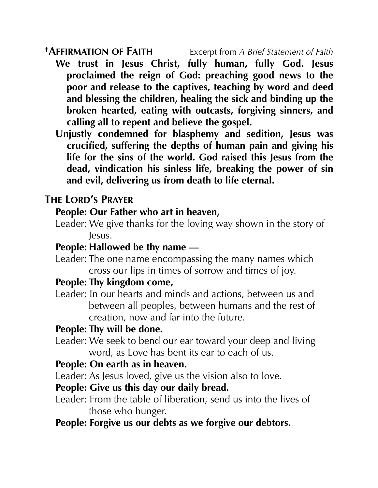- **We trust in Jesus Christ, fully human, fully God. Jesus proclaimed the reign of God: preaching good news to the poor and release to the captives, teaching by word and deed and blessing the children, healing the sick and binding up the broken hearted, eating with outcasts, forgiving sinners, and calling all to repent and believe the gospel.**
- **Unjustly condemned for blasphemy and sedition, Jesus was crucified, suffering the depths of human pain and giving his life for the sins of the world. God raised this Jesus from the dead, vindication his sinless life, breaking the power of sin and evil, delivering us from death to life eternal.**

#### **THE LORD'S PRAYER**

#### **People: Our Father who art in heaven,**

Leader: We give thanks for the loving way shown in the story of Jesus.

#### **People: Hallowed be thy name —**

Leader: The one name encompassing the many names which cross our lips in times of sorrow and times of joy.

#### **People: Thy kingdom come,**

Leader: In our hearts and minds and actions, between us and between all peoples, between humans and the rest of creation, now and far into the future.

#### **People: Thy will be done.**

Leader: We seek to bend our ear toward your deep and living word, as Love has bent its ear to each of us.

#### **People: On earth as in heaven.**

- Leader: As Jesus loved, give us the vision also to love.
- **People: Give us this day our daily bread.**
- Leader: From the table of liberation, send us into the lives of those who hunger.
- **People: Forgive us our debts as we forgive our debtors.**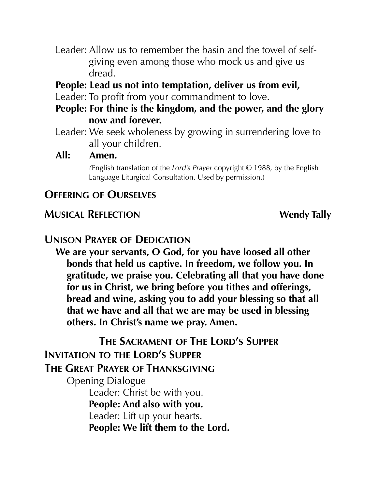- Leader: Allow us to remember the basin and the towel of selfgiving even among those who mock us and give us dread.
- **People: Lead us not into temptation, deliver us from evil,**
- Leader: To profit from your commandment to love.
- **People: For thine is the kingdom, and the power, and the glory now and forever.**
- Leader: We seek wholeness by growing in surrendering love to all your children.

#### **All: Amen.**

*(*English translation of the *Lord's Prayer* copyright © 1988, by the English Language Liturgical Consultation. Used by permission.)

#### **OFFERING OF OURSELVES**

#### **MUSICAL REFLECTION** Wendy Tally

#### **UNISON PRAYER OF DEDICATION**

**We are your servants, O God, for you have loosed all other bonds that held us captive. In freedom, we follow you. In gratitude, we praise you. Celebrating all that you have done for us in Christ, we bring before you tithes and offerings, bread and wine, asking you to add your blessing so that all that we have and all that we are may be used in blessing others. In Christ's name we pray. Amen.** 

**THE SACRAMENT OF THE LORD'S SUPPER** 

# **INVITATION TO THE LORD'S SUPPER**

#### **THE GREAT PRAYER OF THANKSGIVING**

Opening Dialogue Leader: Christ be with you. **People: And also with you.**  Leader: Lift up your hearts. **People: We lift them to the Lord.**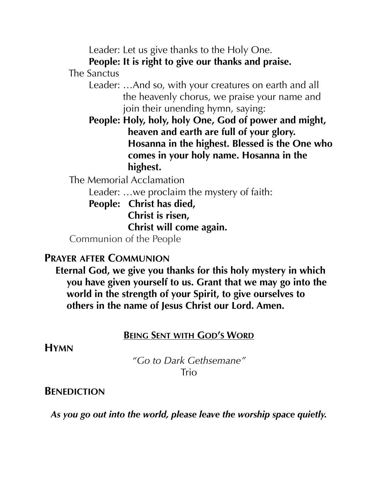Leader: Let us give thanks to the Holy One.

**People: It is right to give our thanks and praise.**

The Sanctus

- Leader: …And so, with your creatures on earth and all the heavenly chorus, we praise your name and join their unending hymn, saying:
- **People: Holy, holy, holy One, God of power and might, heaven and earth are full of your glory. Hosanna in the highest. Blessed is the One who comes in your holy name. Hosanna in the highest.**

The Memorial Acclamation

Leader: …we proclaim the mystery of faith:

 **People: Christ has died, Christ is risen, Christ will come again.** 

Communion of the People

#### **PRAYER AFTER COMMUNION**

**Eternal God, we give you thanks for this holy mystery in which you have given yourself to us. Grant that we may go into the world in the strength of your Spirit, to give ourselves to others in the name of Jesus Christ our Lord. Amen.** 

#### **BEING SENT WITH GOD'S WORD**

**HYMN** 

*"Go to Dark Gethsemane"*  **Trio** 

#### **BENEDICTION**

*As you go out into the world, please leave the worship space quietly.*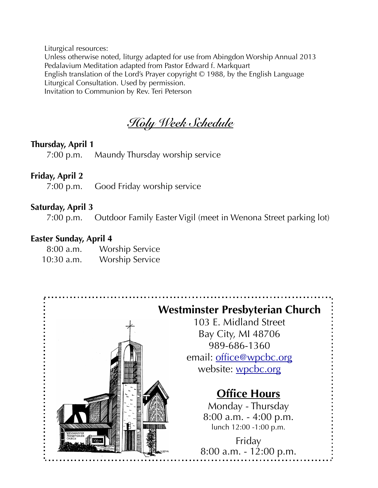Liturgical resources: Unless otherwise noted, liturgy adapted for use from Abingdon Worship Annual 2013 Pedalavium Meditation adapted from Pastor Edward f. Markquart English translation of the Lord's Prayer copyright © 1988, by the English Language Liturgical Consultation. Used by permission. Invitation to Communion by Rev. Teri Peterson

*Holy Week Schedule* 

#### **Thursday, April 1**

7:00 p.m. Maundy Thursday worship service

#### **Friday, April 2**

7:00 p.m. Good Friday worship service

#### **Saturday, April 3**

7:00 p.m. Outdoor Family Easter Vigil (meet in Wenona Street parking lot)

#### **Easter Sunday, April 4**

 8:00 a.m. Worship Service 10:30 a.m. Worship Service